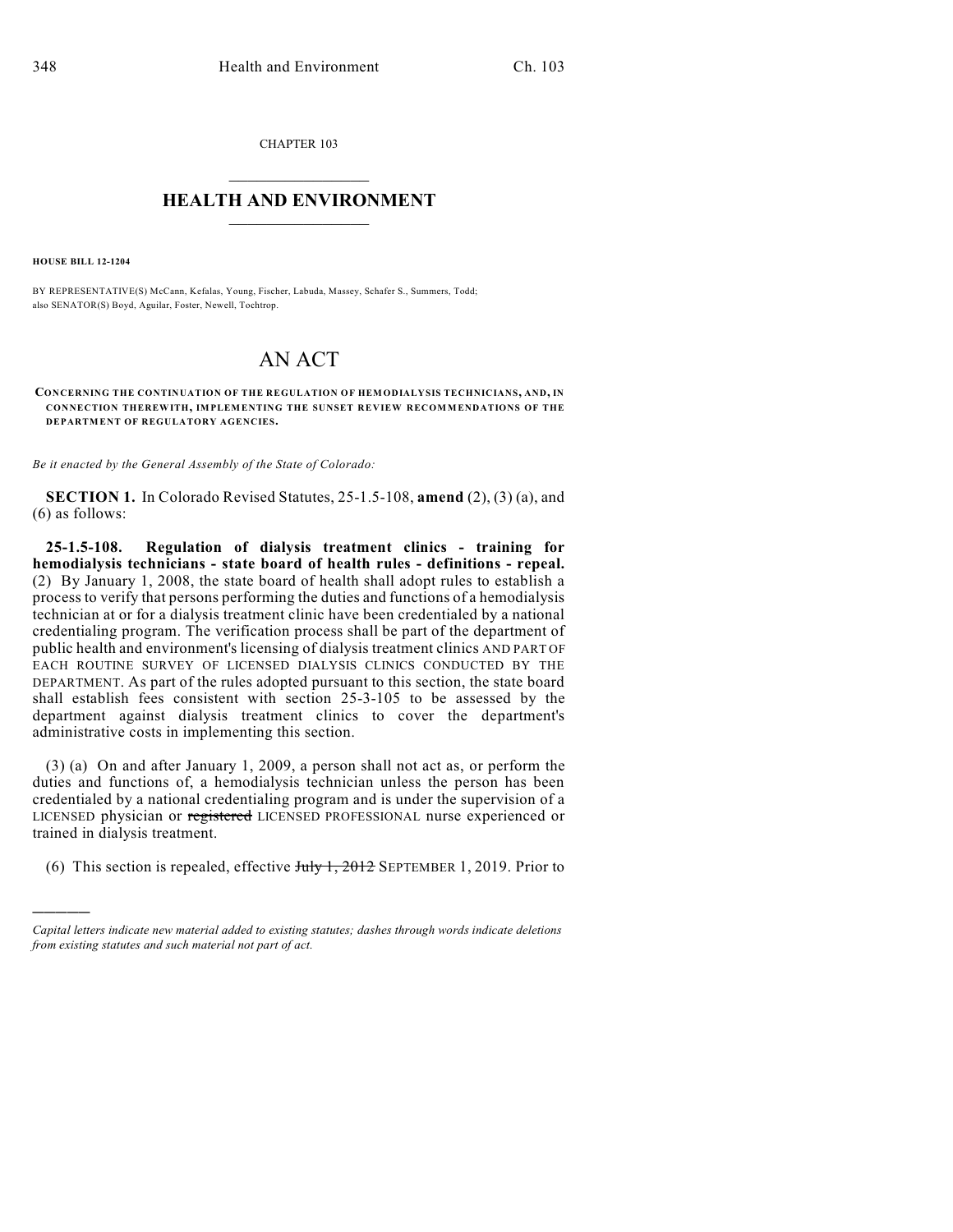CHAPTER 103

## $\overline{\phantom{a}}$  . The set of the set of the set of the set of the set of the set of the set of the set of the set of the set of the set of the set of the set of the set of the set of the set of the set of the set of the set o **HEALTH AND ENVIRONMENT**  $\_$

**HOUSE BILL 12-1204**

)))))

BY REPRESENTATIVE(S) McCann, Kefalas, Young, Fischer, Labuda, Massey, Schafer S., Summers, Todd; also SENATOR(S) Boyd, Aguilar, Foster, Newell, Tochtrop.

## AN ACT

**CONCERNING THE CONTINUATION OF THE REGULATION OF HEMODIALYSIS TECHNICIANS, AND, IN CONNECTION THEREWITH, IMPLEMENTING THE SUNSET REVIEW RECOMMENDATIONS OF THE DEPARTMENT OF REGULATORY AGENCIES.**

*Be it enacted by the General Assembly of the State of Colorado:*

**SECTION 1.** In Colorado Revised Statutes, 25-1.5-108, **amend** (2), (3) (a), and (6) as follows:

**25-1.5-108. Regulation of dialysis treatment clinics - training for hemodialysis technicians - state board of health rules - definitions - repeal.** (2) By January 1, 2008, the state board of health shall adopt rules to establish a process to verify that persons performing the duties and functions of a hemodialysis technician at or for a dialysis treatment clinic have been credentialed by a national credentialing program. The verification process shall be part of the department of public health and environment's licensing of dialysis treatment clinics AND PART OF EACH ROUTINE SURVEY OF LICENSED DIALYSIS CLINICS CONDUCTED BY THE DEPARTMENT. As part of the rules adopted pursuant to this section, the state board shall establish fees consistent with section 25-3-105 to be assessed by the department against dialysis treatment clinics to cover the department's administrative costs in implementing this section.

(3) (a) On and after January 1, 2009, a person shall not act as, or perform the duties and functions of, a hemodialysis technician unless the person has been credentialed by a national credentialing program and is under the supervision of a LICENSED physician or registered LICENSED PROFESSIONAL nurse experienced or trained in dialysis treatment.

(6) This section is repealed, effective  $J_{\text{uly}}$  1, 2012 SEPTEMBER 1, 2019. Prior to

*Capital letters indicate new material added to existing statutes; dashes through words indicate deletions from existing statutes and such material not part of act.*